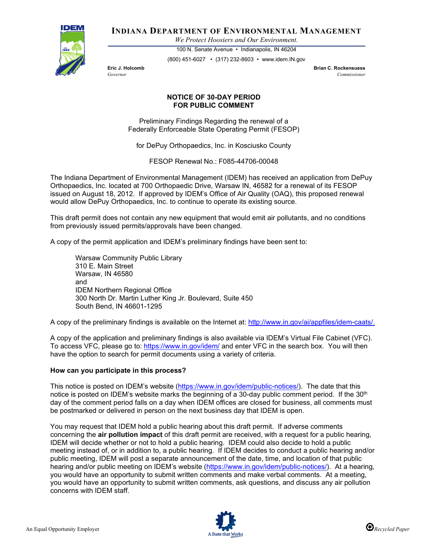

**INDIANA DEPARTMENT OF ENVIRONMENTAL MANAGEMENT**

*We Protect Hoosiers and Our Environment.*

100 N. Senate Avenue • Indianapolis, IN 46204 (800) 451-6027 • (317) 232-8603 • www.idem.IN.gov

**Eric J. Holcomb Brian C. Rockensuess** *Governor Commissioner* 

## **NOTICE OF 30-DAY PERIOD FOR PUBLIC COMMENT**

Preliminary Findings Regarding the renewal of a Federally Enforceable State Operating Permit (FESOP)

for DePuy Orthopaedics, Inc. in Kosciusko County

FESOP Renewal No.: F085-44706-00048

The Indiana Department of Environmental Management (IDEM) has received an application from DePuy Orthopaedics, Inc. located at 700 Orthopaedic Drive, Warsaw IN, 46582 for a renewal of its FESOP issued on August 18, 2012. If approved by IDEM's Office of Air Quality (OAQ), this proposed renewal would allow DePuy Orthopaedics, Inc. to continue to operate its existing source.

This draft permit does not contain any new equipment that would emit air pollutants, and no conditions from previously issued permits/approvals have been changed.

A copy of the permit application and IDEM's preliminary findings have been sent to:

Warsaw Community Public Library 310 E. Main Street Warsaw, IN 46580 and IDEM Northern Regional Office 300 North Dr. Martin Luther King Jr. Boulevard, Suite 450 South Bend, IN 46601-1295

A copy of the preliminary findings is available on the Internet at: [http://www.in.gov/ai/appfiles/idem-caats/.](http://www.in.gov/ai/appfiles/idem-caats/)

A copy of the application and preliminary findings is also available via IDEM's Virtual File Cabinet (VFC). To access VFC, please go to:<https://www.in.gov/idem/> and enter VFC in the search box. You will then have the option to search for permit documents using a variety of criteria.

## **How can you participate in this process?**

This notice is posted on IDEM's website [\(https://www.in.gov/idem/public-notices/\)](https://www.in.gov/idem/public-notices/). The date that this notice is posted on IDEM's website marks the beginning of a 30-day public comment period. If the  $30<sup>th</sup>$ day of the comment period falls on a day when IDEM offices are closed for business, all comments must be postmarked or delivered in person on the next business day that IDEM is open.

You may request that IDEM hold a public hearing about this draft permit. If adverse comments concerning the **air pollution impact** of this draft permit are received, with a request for a public hearing, IDEM will decide whether or not to hold a public hearing. IDEM could also decide to hold a public meeting instead of, or in addition to, a public hearing. If IDEM decides to conduct a public hearing and/or public meeting, IDEM will post a separate announcement of the date, time, and location of that public hearing and/or public meeting on IDEM's website [\(https://www.in.gov/idem/public-notices/\)](https://www.in.gov/idem/public-notices/). At a hearing, you would have an opportunity to submit written comments and make verbal comments. At a meeting, you would have an opportunity to submit written comments, ask questions, and discuss any air pollution concerns with IDEM staff.